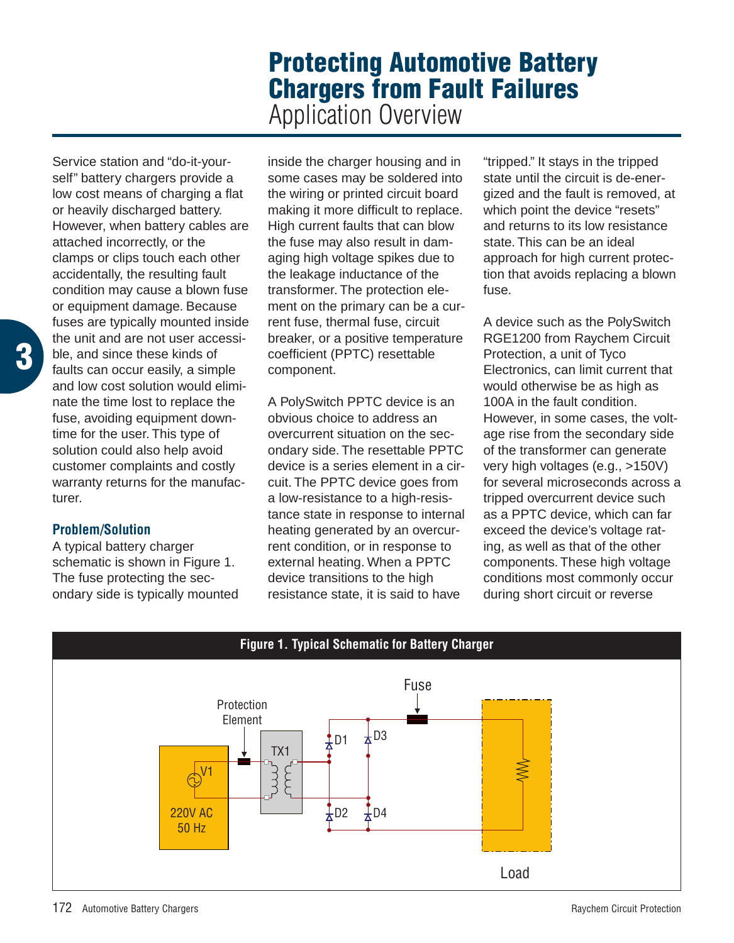## **Protecting Automotive Battery Chargers from Fault Failures**

Application Overview

Service station and "do-it-yourself" battery chargers provide a low cost means of charging a flat or heavily discharged battery. However, when battery cables are attached incorrectly, or the clamps or clips touch each other accidentally, the resulting fault condition may cause a blown fuse or equipment damage. Because fuses are typically mounted inside the unit and are not user accessible, and since these kinds of faults can occur easily, a simple and low cost solution would eliminate the time lost to replace the fuse, avoiding equipment downtime for the user. This type of solution could also help avoid customer complaints and costly warranty returns for the manufacturer.

## **Problem/Solution**

A typical battery charger schematic is shown in Figure 1. The fuse protecting the secondary side is typically mounted inside the charger housing and in some cases may be soldered into the wiring or printed circuit board making it more difficult to replace. High current faults that can blow the fuse may also result in damaging high voltage spikes due to the leakage inductance of the transformer. The protection element on the primary can be a current fuse, thermal fuse, circuit breaker, or a positive temperature coefficient (PPTC) resettable component.

A PolySwitch PPTC device is an obvious choice to address an overcurrent situation on the secondary side. The resettable PPTC device is a series element in a circuit. The PPTC device goes from a low-resistance to a high-resistance state in response to internal heating generated by an overcurrent condition, or in response to external heating. When a PPTC device transitions to the high resistance state, it is said to have

"tripped." It stays in the tripped state until the circuit is de-energized and the fault is removed, at which point the device "resets" and returns to its low resistance state. This can be an ideal approach for high current protection that avoids replacing a blown fuse.

A device such as the PolySwitch RGE1200 from Raychem Circuit Protection, a unit of Tyco Electronics, can limit current that would otherwise be as high as 100A in the fault condition. However, in some cases, the voltage rise from the secondary side of the transformer can generate very high voltages (e.g., >150V) for several microseconds across a tripped overcurrent device such as a PPTC device, which can far exceed the device's voltage rating, as well as that of the other components. These high voltage conditions most commonly occur during short circuit or reverse